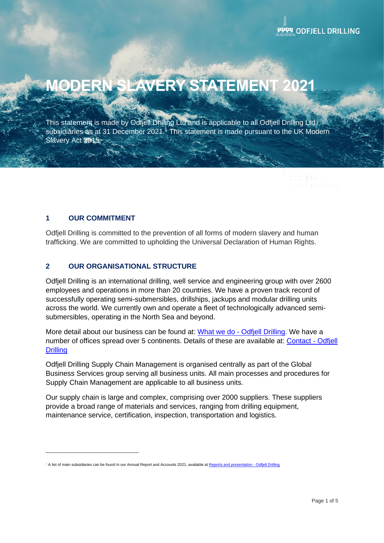# **ERY STATEMENT**

This statement is made by Odfjell Drilling Ltd and is applicable to all Odfjell Drilling Ltd subsidiaries as at 31 December 2021.<sup>1</sup> This statement is made pursuant to the UK Modern Slavery Act 2015.

# **1 OUR COMMITMENT**

Odfjell Drilling is committed to the prevention of all forms of modern slavery and human trafficking. We are committed to upholding the Universal Declaration of Human Rights.

# **2 OUR ORGANISATIONAL STRUCTURE**

Odfjell Drilling is an international drilling, well service and engineering group with over 2600 employees and operations in more than 20 countries. We have a proven track record of successfully operating semi-submersibles, drillships, jackups and modular drilling units across the world. We currently own and operate a fleet of technologically advanced semisubmersibles, operating in the North Sea and beyond.

More detail about our business can be found at: What we do - [Odfjell Drilling.](https://www.odfjelldrilling.com/what-we-do/) We have a number of offices spread over 5 continents. Details of these are available at: [Contact -](https://www.odfjelldrilling.com/contact/) Odfjell **[Drilling](https://www.odfjelldrilling.com/contact/)** 

Odfjell Drilling Supply Chain Management is organised centrally as part of the Global Business Services group serving all business units. All main processes and procedures for Supply Chain Management are applicable to all business units.

Our supply chain is large and complex, comprising over 2000 suppliers. These suppliers provide a broad range of materials and services, ranging from drilling equipment, maintenance service, certification, inspection, transportation and logistics.

<sup>&</sup>lt;sup>1</sup> A list of main subsidiaries can be found in our Annual Report and Accounts 2021, available at [Reports and presentation -](https://www.odfjelldrilling.com/investor/reports-and-presentation/) Odfjell Drilling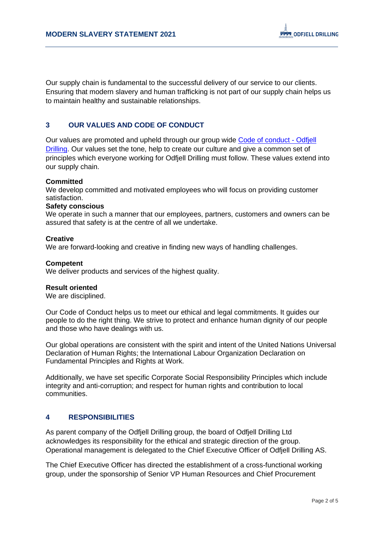Our supply chain is fundamental to the successful delivery of our service to our clients. Ensuring that modern slavery and human trafficking is not part of our supply chain helps us to maintain healthy and sustainable relationships.

## **3 OUR VALUES AND CODE OF CONDUCT**

Our values are promoted and upheld through our group wide [Code of conduct -](https://www.odfjelldrilling.com/who-we-are/code-of-conduct/) Odfjell [Drilling.](https://www.odfjelldrilling.com/who-we-are/code-of-conduct/) Our values set the tone, help to create our culture and give a common set of principles which everyone working for Odfjell Drilling must follow. These values extend into our supply chain.

### **Committed**

We develop committed and motivated employees who will focus on providing customer satisfaction.

#### **Safety conscious**

We operate in such a manner that our employees, partners, customers and owners can be assured that safety is at the centre of all we undertake.

#### **Creative**

We are forward-looking and creative in finding new ways of handling challenges.

### **Competent**

We deliver products and services of the highest quality.

#### **Result oriented**

We are disciplined.

Our Code of Conduct helps us to meet our ethical and legal commitments. It guides our people to do the right thing. We strive to protect and enhance human dignity of our people and those who have dealings with us.

Our global operations are consistent with the spirit and intent of the United Nations Universal Declaration of Human Rights; the International Labour Organization Declaration on Fundamental Principles and Rights at Work.

Additionally, we have set specific Corporate Social Responsibility Principles which include integrity and anti-corruption; and respect for human rights and contribution to local communities.

## **4 RESPONSIBILITIES**

As parent company of the Odfjell Drilling group, the board of Odfjell Drilling Ltd acknowledges its responsibility for the ethical and strategic direction of the group. Operational management is delegated to the Chief Executive Officer of Odfjell Drilling AS.

The Chief Executive Officer has directed the establishment of a cross-functional working group, under the sponsorship of Senior VP Human Resources and Chief Procurement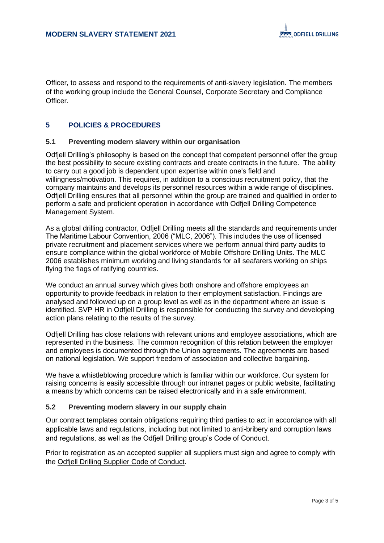Officer, to assess and respond to the requirements of anti-slavery legislation. The members of the working group include the General Counsel, Corporate Secretary and Compliance Officer.

## **5 POLICIES & PROCEDURES**

### **5.1 Preventing modern slavery within our organisation**

Odfjell Drilling's philosophy is based on the concept that competent personnel offer the group the best possibility to secure existing contracts and create contracts in the future. The ability to carry out a good job is dependent upon expertise within one's field and willingness/motivation. This requires, in addition to a conscious recruitment policy, that the company maintains and develops its personnel resources within a wide range of disciplines. Odfjell Drilling ensures that all personnel within the group are trained and qualified in order to perform a safe and proficient operation in accordance with Odfjell Drilling Competence Management System.

As a global drilling contractor, Odfjell Drilling meets all the standards and requirements under The Maritime Labour Convention, 2006 ("MLC, 2006"). This includes the use of licensed private recruitment and placement services where we perform annual third party audits to ensure compliance within the global workforce of Mobile Offshore Drilling Units. The MLC 2006 establishes minimum working and living standards for all seafarers working on ships flying the flags of ratifying countries.

We conduct an annual survey which gives both onshore and offshore employees an opportunity to provide feedback in relation to their employment satisfaction. Findings are analysed and followed up on a group level as well as in the department where an issue is identified. SVP HR in Odfjell Drilling is responsible for conducting the survey and developing action plans relating to the results of the survey.

Odfjell Drilling has close relations with relevant unions and employee associations, which are represented in the business. The common recognition of this relation between the employer and employees is documented through the Union agreements. The agreements are based on national legislation. We support freedom of association and collective bargaining.

We have a whistleblowing procedure which is familiar within our workforce. Our system for raising concerns is easily accessible through our intranet pages or public website, facilitating a means by which concerns can be raised electronically and in a safe environment.

### **5.2 Preventing modern slavery in our supply chain**

Our contract templates contain obligations requiring third parties to act in accordance with all applicable laws and regulations, including but not limited to anti-bribery and corruption laws and regulations, as well as the Odfjell Drilling group's Code of Conduct.

Prior to registration as an accepted supplier all suppliers must sign and agree to comply with the [Odfjell Drilling Supplier Code of Conduct.](https://www.odfjelldrilling.com/globalassets/about_the_company/-supplier_code_of_conduct-ny_-_pdf_form.pdf)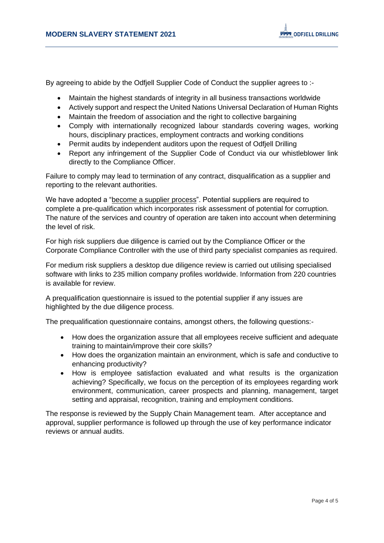By agreeing to abide by the Odfiell Supplier Code of Conduct the supplier agrees to :-

- Maintain the highest standards of integrity in all business transactions worldwide
- Actively support and respect the United Nations Universal Declaration of Human Rights
- Maintain the freedom of association and the right to collective bargaining
- Comply with internationally recognized labour standards covering wages, working hours, disciplinary practices, employment contracts and working conditions
- Permit audits by independent auditors upon the request of Odfjell Drilling
- Report any infringement of the Supplier Code of Conduct via our whistleblower link directly to the Compliance Officer.

Failure to comply may lead to termination of any contract, disqualification as a supplier and reporting to the relevant authorities.

We have adopted a ["become a supplier process"](https://www.odfjelldrilling.com/About/Become-a-supplier/). Potential suppliers are required to complete a pre-qualification which incorporates risk assessment of potential for corruption. The nature of the services and country of operation are taken into account when determining the level of risk.

For high risk suppliers due diligence is carried out by the Compliance Officer or the Corporate Compliance Controller with the use of third party specialist companies as required.

For medium risk suppliers a desktop due diligence review is carried out utilising specialised software with links to 235 million company profiles worldwide. Information from 220 countries is available for review.

A prequalification questionnaire is issued to the potential supplier if any issues are highlighted by the due diligence process.

The prequalification questionnaire contains, amongst others, the following questions:-

- How does the organization assure that all employees receive sufficient and adequate training to maintain/improve their core skills?
- How does the organization maintain an environment, which is safe and conductive to enhancing productivity?
- How is employee satisfaction evaluated and what results is the organization achieving? Specifically, we focus on the perception of its employees regarding work environment, communication, career prospects and planning, management, target setting and appraisal, recognition, training and employment conditions.

The response is reviewed by the Supply Chain Management team. After acceptance and approval, supplier performance is followed up through the use of key performance indicator reviews or annual audits.